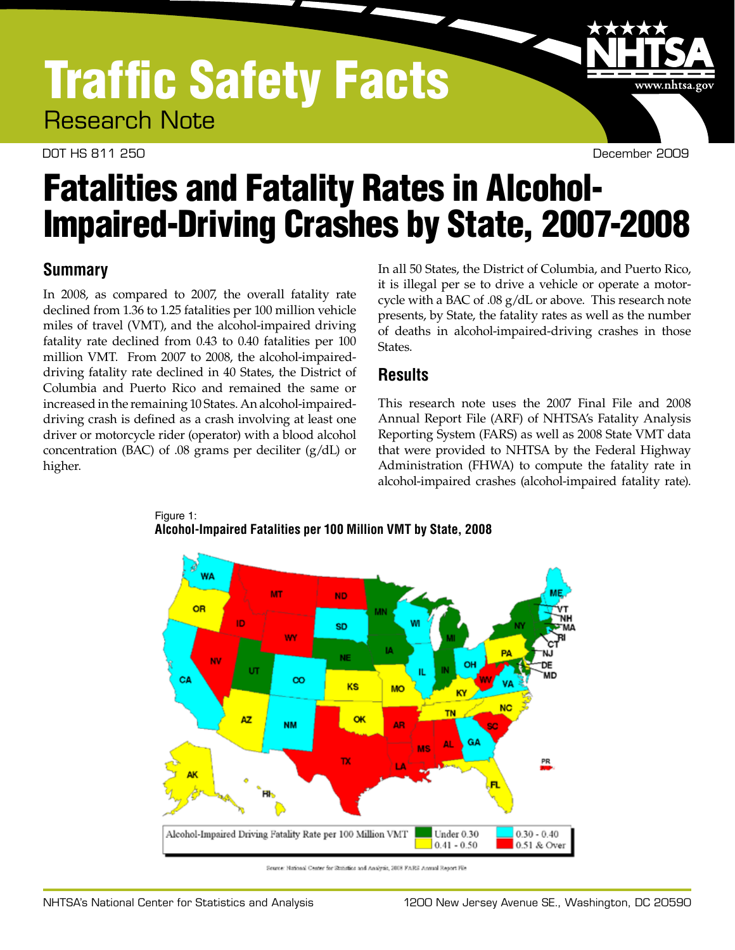## Traffic Safety Facts Research Note

DOT HS 811 250 December 2009

www.nhtsa.gov

# Fatalities and Fatality Rates in Alcohol-Impaired-Driving Crashes by State, 2007-2008

## **Summary**

In 2008, as compared to 2007, the overall fatality rate declined from 1.36 to 1.25 fatalities per 100 million vehicle miles of travel (VMT), and the alcohol-impaired driving fatality rate declined from 0.43 to 0.40 fatalities per 100 million VMT. From 2007 to 2008, the alcohol-impaireddriving fatality rate declined in 40 States, the District of Columbia and Puerto Rico and remained the same or increased in the remaining 10 States. An alcohol-impaireddriving crash is defined as a crash involving at least one driver or motorcycle rider (operator) with a blood alcohol concentration (BAC) of .08 grams per deciliter (g/dL) or higher.

In all 50 States, the District of Columbia, and Puerto Rico, it is illegal per se to drive a vehicle or operate a motorcycle with a BAC of .08 g/dL or above. This research note presents, by State, the fatality rates as well as the number of deaths in alcohol-impaired-driving crashes in those States.

### **Results**

This research note uses the 2007 Final File and 2008 Annual Report File (ARF) of NHTSA's Fatality Analysis Reporting System (FARS) as well as 2008 State VMT data that were provided to NHTSA by the Federal Highway Administration (FHWA) to compute the fatality rate in alcohol-impaired crashes (alcohol-impaired fatality rate).



Figure 1: **Alcohol-Impaired Fatalities per 100 Million VMT by State, 2008**

Source: National Center for Statistics and Analysis, 2008 FARS Annual Report File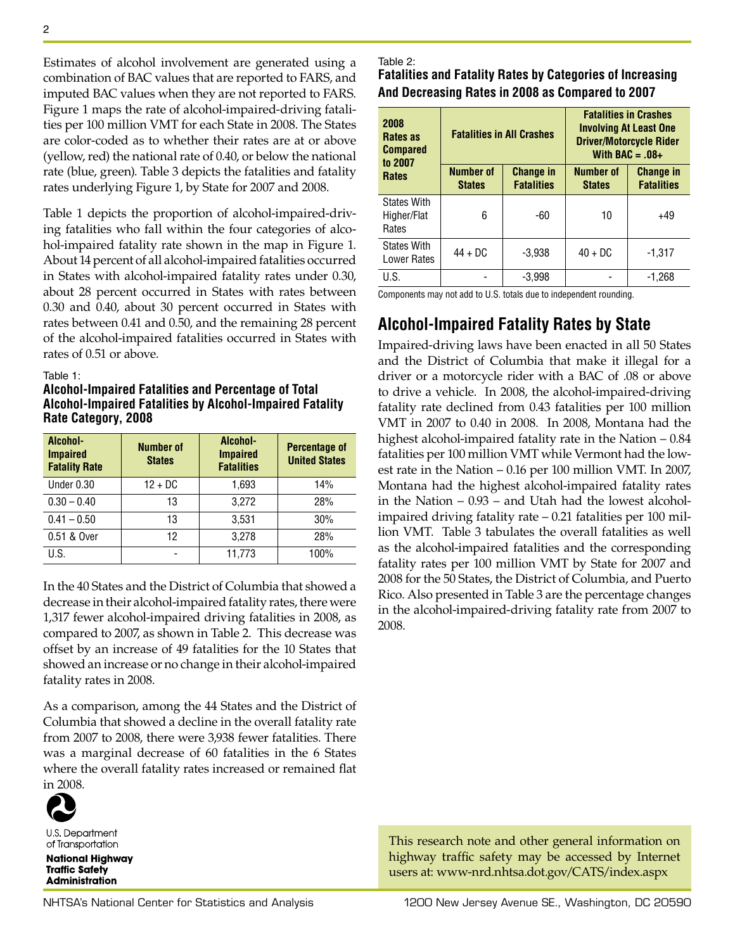Estimates of alcohol involvement are generated using a combination of BAC values that are reported to FARS, and imputed BAC values when they are not reported to FARS. Figure 1 maps the rate of alcohol-impaired-driving fatalities per 100 million VMT for each State in 2008. The States are color-coded as to whether their rates are at or above (yellow, red) the national rate of 0.40, or below the national rate (blue, green). Table 3 depicts the fatalities and fatality rates underlying Figure 1, by State for 2007 and 2008.

Table 1 depicts the proportion of alcohol-impaired-driving fatalities who fall within the four categories of alcohol-impaired fatality rate shown in the map in Figure 1. About 14 percent of all alcohol-impaired fatalities occurred in States with alcohol-impaired fatality rates under 0.30, about 28 percent occurred in States with rates between 0.30 and 0.40, about 30 percent occurred in States with rates between 0.41 and 0.50, and the remaining 28 percent of the alcohol-impaired fatalities occurred in States with rates of 0.51 or above.

#### Table 1:

**Alcohol-Impaired Fatalities and Percentage of Total Alcohol-Impaired Fatalities by Alcohol-Impaired Fatality Rate Category, 2008**

| Alcohol-<br><b>Impaired</b><br><b>Fatality Rate</b> | <b>Number of</b><br><b>States</b> | Alcohol-<br><b>Impaired</b><br><b>Fatalities</b> | <b>Percentage of</b><br><b>United States</b> |
|-----------------------------------------------------|-----------------------------------|--------------------------------------------------|----------------------------------------------|
| Under 0.30                                          | $12 + DC$                         | 1,693                                            | 14%                                          |
| $0.30 - 0.40$                                       | 13                                | 3,272                                            | 28%                                          |
| $0.41 - 0.50$                                       | 13                                | 3.531                                            | 30%                                          |
| 0.51 & Over                                         | 12                                | 3.278                                            | 28%                                          |
| U.S.                                                |                                   | 11,773                                           | 100%                                         |

In the 40 States and the District of Columbia that showed a decrease in their alcohol-impaired fatality rates, there were 1,317 fewer alcohol-impaired driving fatalities in 2008, as compared to 2007, as shown in Table 2. This decrease was offset by an increase of 49 fatalities for the 10 States that showed an increase or no change in their alcohol-impaired fatality rates in 2008.

As a comparison, among the 44 States and the District of Columbia that showed a decline in the overall fatality rate from 2007 to 2008, there were 3,938 fewer fatalities. There was a marginal decrease of 60 fatalities in the 6 States where the overall fatality rates increased or remained flat in 2008.



U.S. Department of Transportation

**National Highway Traffic Safety Administration** 

#### Table 2:

**Fatalities and Fatality Rates by Categories of Increasing And Decreasing Rates in 2008 as Compared to 2007**

| 2008<br>Rates as<br><b>Compared</b><br>to 2007<br><b>Rates</b> |                                   | <b>Fatalities in All Crashes</b>      | <b>Fatalities in Crashes</b><br><b>Involving At Least One</b><br><b>Driver/Motorcycle Rider</b><br>With BAC = $.08+$ |                                       |  |
|----------------------------------------------------------------|-----------------------------------|---------------------------------------|----------------------------------------------------------------------------------------------------------------------|---------------------------------------|--|
|                                                                | <b>Number of</b><br><b>States</b> | <b>Change in</b><br><b>Fatalities</b> | <b>Number of</b><br><b>States</b>                                                                                    | <b>Change in</b><br><b>Fatalities</b> |  |
| <b>States With</b><br>Higher/Flat<br>Rates                     | 6                                 | -60                                   | 10                                                                                                                   | $+49$                                 |  |
| <b>States With</b><br><b>Lower Rates</b>                       | $44 + DC$                         | $-3.938$                              | $40 + DC$                                                                                                            | $-1,317$                              |  |
| U.S.                                                           |                                   | $-3,998$                              |                                                                                                                      | $-1.268$                              |  |

Components may not add to U.S. totals due to independent rounding.

## **Alcohol-Impaired Fatality Rates by State**

Impaired-driving laws have been enacted in all 50 States and the District of Columbia that make it illegal for a driver or a motorcycle rider with a BAC of .08 or above to drive a vehicle. In 2008, the alcohol-impaired-driving fatality rate declined from 0.43 fatalities per 100 million VMT in 2007 to 0.40 in 2008. In 2008, Montana had the highest alcohol-impaired fatality rate in the Nation – 0.84 fatalities per 100 million VMT while Vermont had the lowest rate in the Nation – 0.16 per 100 million VMT. In 2007, Montana had the highest alcohol-impaired fatality rates in the Nation – 0.93 – and Utah had the lowest alcoholimpaired driving fatality rate – 0.21 fatalities per 100 million VMT. Table 3 tabulates the overall fatalities as well as the alcohol-impaired fatalities and the corresponding fatality rates per 100 million VMT by State for 2007 and 2008 for the 50 States, the District of Columbia, and Puerto Rico. Also presented in Table 3 are the percentage changes in the alcohol-impaired-driving fatality rate from 2007 to 2008.

This research note and other general information on highway traffic safety may be accessed by Internet users at: www-nrd.nhtsa.dot.gov/CATS/index.aspx